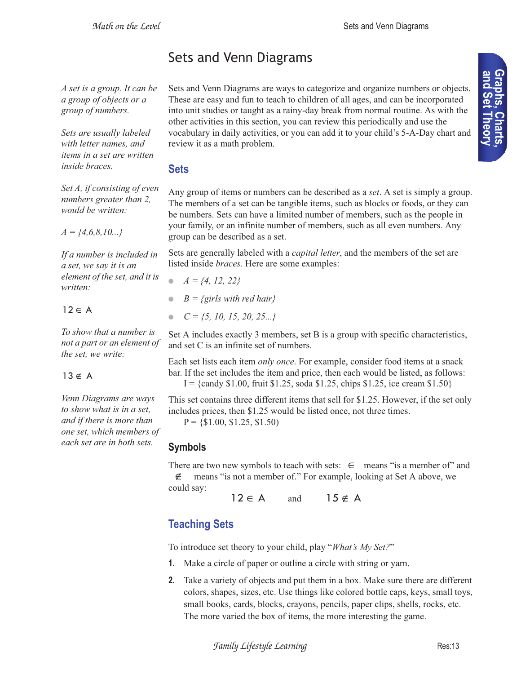# Sets and Venn Diagrams

*A set is a group. It can be a group of objects or a group of numbers.*

*Sets are usually labeled with letter names, and items in a set are written inside braces.*

*Set A, if consisting of even numbers greater than 2, would be written:*

*A = {4,6,8,10...}*

*If a number is included in a set, we say it is an element of the set, and it is written:*

 $12 \in A$ 

*To show that a number is not a part or an element of the set, we write:*

### $13 \notin A$

*Venn Diagrams are ways to show what is in a set, and if there is more than one set, which members of each set are in both sets.*

Sets and Venn Diagrams are ways to categorize and organize numbers or objects. These are easy and fun to teach to children of all ages, and can be incorporated into unit studies or taught as a rainy-day break from normal routine. As with the other activities in this section, you can review this periodically and use the vocabulary in daily activities, or you can add it to your child's 5-A-Day chart and review it as a math problem.

### **Sets**

Any group of items or numbers can be described as a *set*. A set is simply a group. The members of a set can be tangible items, such as blocks or foods, or they can be numbers. Sets can have a limited number of members, such as the people in your family, or an infinite number of members, such as all even numbers. Any group can be described as a set.

Sets are generally labeled with a *capital letter*, and the members of the set are listed inside *braces*. Here are some examples:

- *A = {4, 12, 22}*
- $B = \{girls with red hair\}$
- *C = {5, 10, 15, 20, 25...}*

Set A includes exactly 3 members, set B is a group with specific characteristics, and set C is an infinite set of numbers.

Each set lists each item *only once*. For example, consider food items at a snack bar. If the set includes the item and price, then each would be listed, as follows:  $I = \{c$  andy \$1.00, fruit \$1.25, soda \$1.25, chips \$1.25, ice cream \$1.50}

This set contains three different items that sell for \$1.25. However, if the set only includes prices, then \$1.25 would be listed once, not three times.

 $P = \{\$1.00, \$1.25, \$1.50\}$ 

# **Symbols**

There are two new symbols to teach with sets:  $\in$  means "is a member of" and means "is not a member of." For example, looking at Set A above, we could say: ∉

 $12 \in A$  and  $15 \notin A$ 

# **Teaching Sets**

To introduce set theory to your child, play "*What's My Set?*"

- **1.** Make a circle of paper or outline a circle with string or yarn.
- **2.** Take a variety of objects and put them in a box. Make sure there are different colors, shapes, sizes, etc. Use things like colored bottle caps, keys, small toys, small books, cards, blocks, crayons, pencils, paper clips, shells, rocks, etc. The more varied the box of items, the more interesting the game.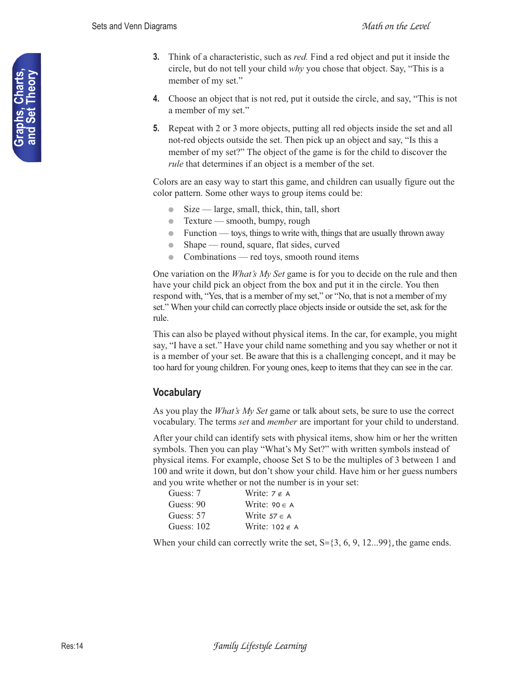- **3.** Think of a characteristic, such as *red.* Find a red object and put it inside the circle, but do not tell your child *why* you chose that object. Say, "This is a member of my set."
- **4.** Choose an object that is not red, put it outside the circle, and say, "This is not a member of my set."
- **5.** Repeat with 2 or 3 more objects, putting all red objects inside the set and all not-red objects outside the set. Then pick up an object and say, "Is this a member of my set?" The object of the game is for the child to discover the *rule* that determines if an object is a member of the set.

Colors are an easy way to start this game, and children can usually figure out the color pattern. Some other ways to group items could be:

- $\bullet$  Size large, small, thick, thin, tall, short
- $\bullet$  Texture smooth, bumpy, rough
- Function toys, things to write with, things that are usually thrown away
- Shape round, square, flat sides, curved
- Combinations red toys, smooth round items

One variation on the *What's My Set* game is for you to decide on the rule and then have your child pick an object from the box and put it in the circle. You then respond with, "Yes, that is a member of my set," or "No, that is not a member of my set." When your child can correctly place objects inside or outside the set, ask for the rule.

This can also be played without physical items. In the car, for example, you might say, "I have a set." Have your child name something and you say whether or not it is a member of your set. Be aware that this is a challenging concept, and it may be too hard for young children. For young ones, keep to items that they can see in the car.

### **Vocabulary**

As you play the *What's My Set* game or talk about sets, be sure to use the correct vocabulary. The terms *set* and *member* are important for your child to understand.

After your child can identify sets with physical items, show him or her the written symbols. Then you can play "What's My Set?" with written symbols instead of physical items. For example, choose Set S to be the multiples of 3 between 1 and 100 and write it down, but don't show your child. Have him or her guess numbers and you write whether or not the number is in your set:

| Guess: 7     | Write: $7 \notin A$   |
|--------------|-----------------------|
| Guess: 90    | Write: $90 \in A$     |
| Guess: 57    | Write $57 \in A$      |
| Guess: $102$ | Write: $102 \notin A$ |

When your child can correctly write the set,  $S = \{3, 6, 9, 12...99\}$ , the game ends.